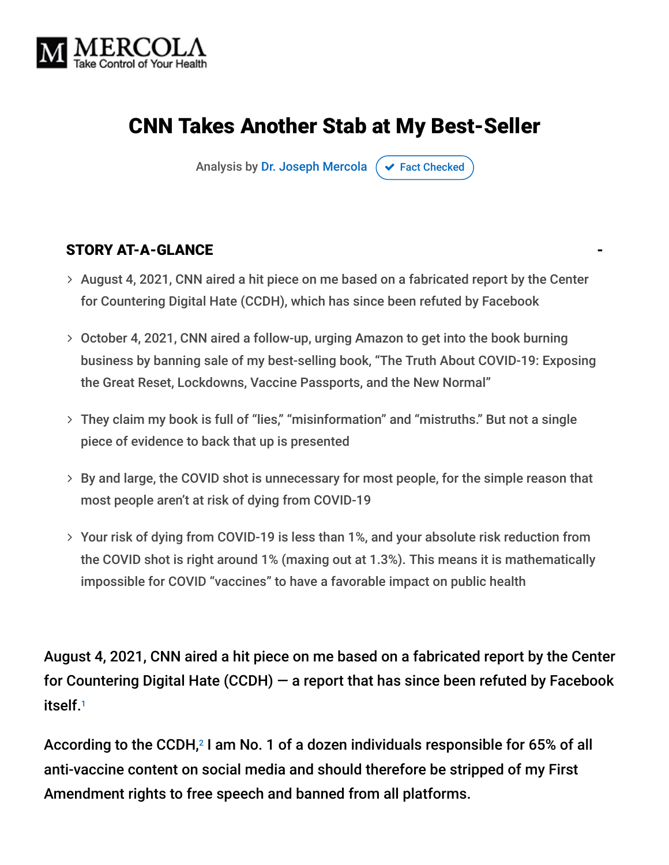

# CNN Takes Another Stab at My Best-Seller

Analysis by [Dr. Joseph Mercola](https://www.mercola.com/forms/background.htm)  $\sigma$  [Fact Checked](javascript:void(0))

#### STORY AT-A-GLANCE

- > August 4, 2021, CNN aired a hit piece on me based on a fabricated report by the Center for Countering Digital Hate (CCDH), which has since been refuted by Facebook
- October 4, 2021, CNN aired a follow-up, urging Amazon to get into the book burning business by banning sale of my best-selling book, "The Truth About COVID-19: Exposing the Great Reset, Lockdowns, Vaccine Passports, and the New Normal"
- They claim my book is full of "lies," "misinformation" and "mistruths." But not a single piece of evidence to back that up is presented
- $>$  By and large, the COVID shot is unnecessary for most people, for the simple reason that most people aren't at risk of dying from COVID-19
- Your risk of dying from COVID-19 is less than 1%, and your absolute risk reduction from the COVID shot is right around 1% (maxing out at 1.3%). This means it is mathematically impossible for COVID "vaccines" to have a favorable impact on public health

August 4, 2021, CNN aired a hit piece on me based on a fabricated report by the Center for Countering Digital Hate (CCDH) — a report that has since been refuted by Facebook itself. 1

According to the CCDH, $^2$  I am No. 1 of a dozen individuals responsible for 65% of all anti-vaccine content on social media and should therefore be stripped of my First Amendment rights to free speech and banned from all platforms.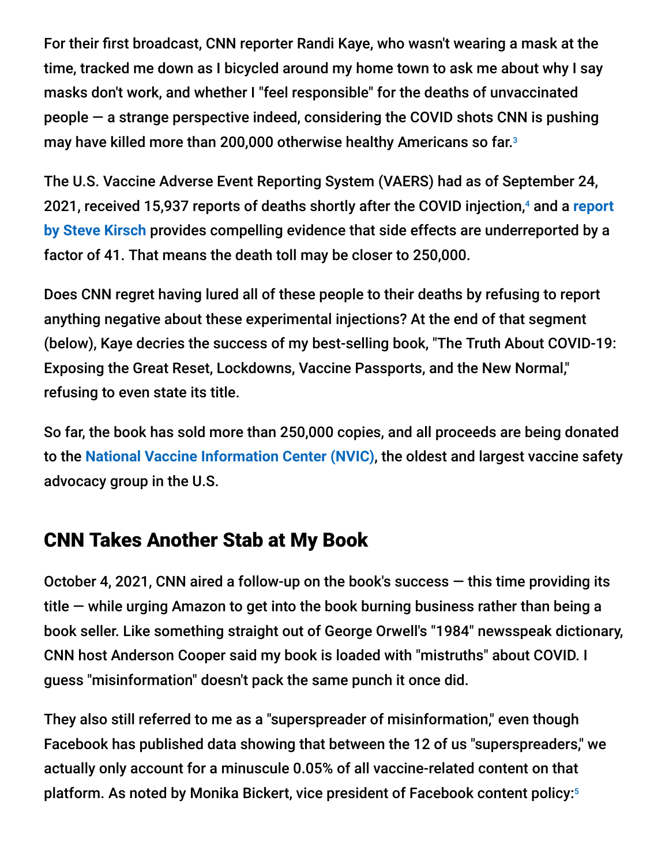For their first broadcast, CNN reporter Randi Kaye, who wasn't wearing a mask at the time, tracked me down as I bicycled around my home town to ask me about why I say masks don't work, and whether I "feel responsible" for the deaths of unvaccinated people — a strange perspective indeed, considering the COVID shots CNN is pushing may have killed more than 200,000 otherwise healthy Americans so far. 3

The U.S. Vaccine Adverse Event Reporting System (VAERS) had as of September 24, 2021, received 15,937 reports of deaths shortly after the COVID injection,<sup>4</sup> and a report **by Steve Kirsch** provides compelling evidence that side effects are underreported by a factor of 41. That means the death toll may be closer to 250,000.

Does CNN regret having lured all of these people to their deaths by refusing to report anything negative about these experimental injections? At the end of that segment (below), Kaye decries the success of my best-selling book, "The Truth About COVID-19: Exposing the Great Reset, Lockdowns, Vaccine Passports, and the New Normal," refusing to even state its title.

So far, the book has sold more than 250,000 copies, and all proceeds are being donated to the **[National Vaccine Information Center \(NVIC\)](https://www.nvic.org/)**, the oldest and largest vaccine safety advocacy group in the U.S.

## CNN Takes Another Stab at My Book

October 4, 2021, CNN aired a follow-up on the book's success  $-$  this time providing its title — while urging Amazon to get into the book burning business rather than being a book seller. Like something straight out of George Orwell's "1984" newsspeak dictionary, CNN host Anderson Cooper said my book is loaded with "mistruths" about COVID. I guess "misinformation" doesn't pack the same punch it once did.

They also still referred to me as a "superspreader of misinformation," even though Facebook has published data showing that between the 12 of us "superspreaders," we actually only account for a minuscule 0.05% of all vaccine-related content on that platform. As noted by Monika Bickert, vice president of Facebook content policy: 5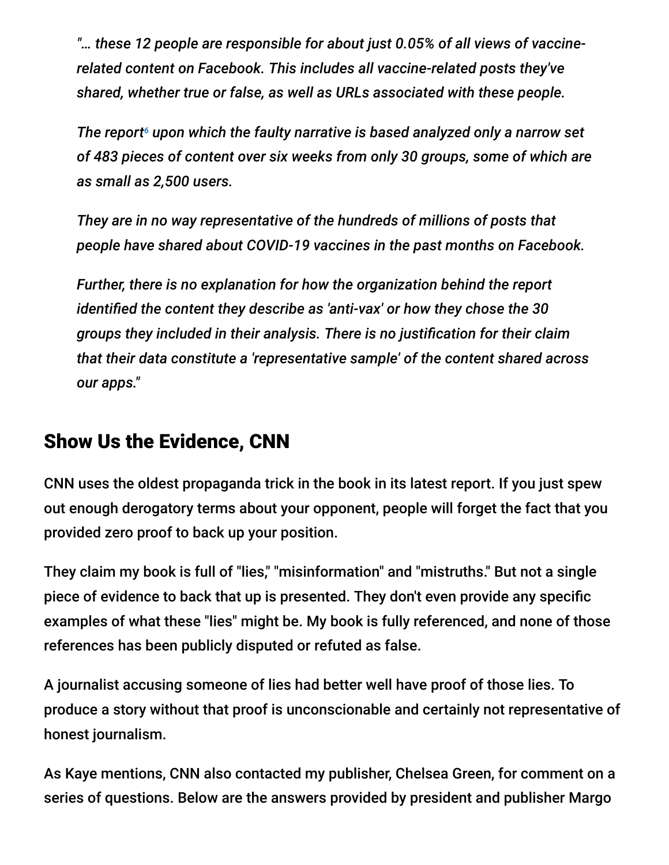*"… these 12 people are responsible for about just 0.05% of all views of vaccinerelated content on Facebook. This includes all vaccine-related posts they've shared, whether true or false, as well as URLs associated with these people.*

The report<sup>6</sup> upon which the faulty narrative is based analyzed only a narrow set *of 483 pieces of content over six weeks from only 30 groups, some of which are as small as 2,500 users.*

*They are in no way representative of the hundreds of millions of posts that people have shared about COVID-19 vaccines in the past months on Facebook.*

*Further, there is no explanation for how the organization behind the report identified the content they describe as 'anti-vax' or how they chose the 30 groups they included in their analysis. There is no justification for their claim that their data constitute a 'representative sample' of the content shared across our apps."*

## Show Us the Evidence, CNN

CNN uses the oldest propaganda trick in the book in its latest report. If you just spew out enough derogatory terms about your opponent, people will forget the fact that you provided zero proof to back up your position.

They claim my book is full of "lies," "misinformation" and "mistruths." But not a single piece of evidence to back that up is presented. They don't even provide any specific examples of what these "lies" might be. My book is fully referenced, and none of those references has been publicly disputed or refuted as false.

A journalist accusing someone of lies had better well have proof of those lies. To produce a story without that proof is unconscionable and certainly not representative of honest journalism.

As Kaye mentions, CNN also contacted my publisher, Chelsea Green, for comment on a series of questions. Below are the answers provided by president and publisher Margo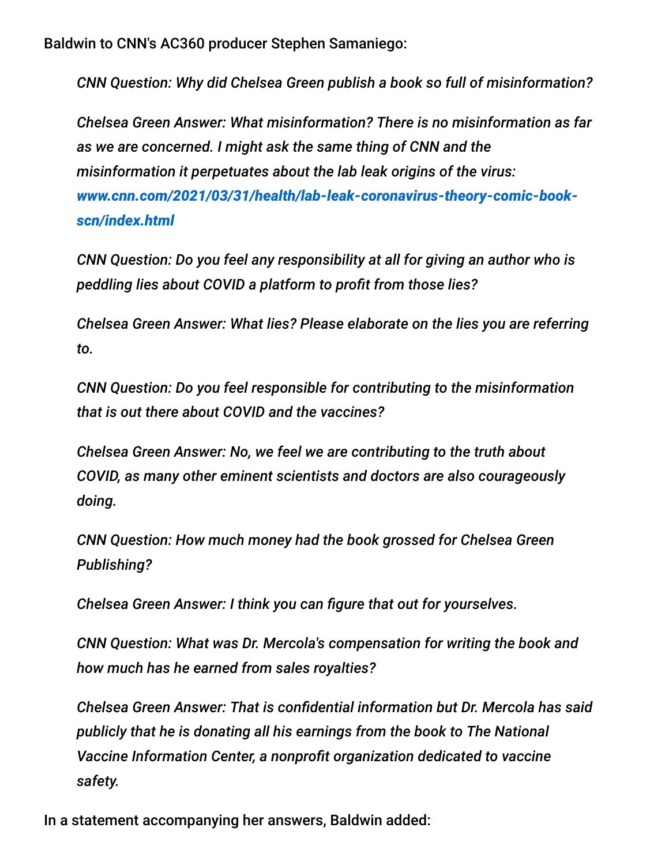Baldwin to CNN's AC360 producer Stephen Samaniego:

*CNN Question: Why did Chelsea Green publish a book so full of misinformation?*

*Chelsea Green Answer: What misinformation? There is no misinformation as far as we are concerned. I might ask the same thing of CNN and the misinformation it perpetuates about the lab leak origins of the virus: [www.cnn.com/2021/03/31/health/lab-leak-coronavirus-theory-comic-book](https://www.cnn.com/2021/03/31/health/lab-leak-coronavirus-theory-comic-book-scn/index.html)scn/index.html*

*CNN Question: Do you feel any responsibility at all for giving an author who is peddling lies about COVID a platform to profit from those lies?*

*Chelsea Green Answer: What lies? Please elaborate on the lies you are referring to.*

*CNN Question: Do you feel responsible for contributing to the misinformation that is out there about COVID and the vaccines?*

*Chelsea Green Answer: No, we feel we are contributing to the truth about COVID, as many other eminent scientists and doctors are also courageously doing.*

*CNN Question: How much money had the book grossed for Chelsea Green Publishing?*

*Chelsea Green Answer: I think you can figure that out for yourselves.*

*CNN Question: What was Dr. Mercola's compensation for writing the book and how much has he earned from sales royalties?*

*Chelsea Green Answer: That is confidential information but Dr. Mercola has said publicly that he is donating all his earnings from the book to The National Vaccine Information Center, a nonprofit organization dedicated to vaccine safety.*

In a statement accompanying her answers, Baldwin added: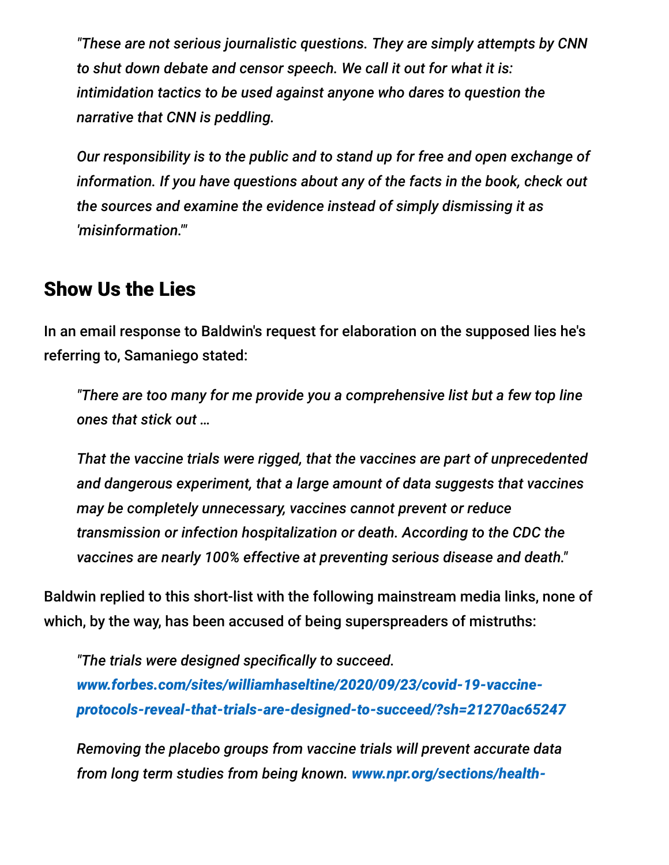*"These are not serious journalistic questions. They are simply attempts by CNN to shut down debate and censor speech. We call it out for what it is: intimidation tactics to be used against anyone who dares to question the narrative that CNN is peddling.*

*Our responsibility is to the public and to stand up for free and open exchange of information. If you have questions about any of the facts in the book, check out the sources and examine the evidence instead of simply dismissing it as 'misinformation.'"*

#### Show Us the Lies

In an email response to Baldwin's request for elaboration on the supposed lies he's referring to, Samaniego stated:

*"There are too many for me provide you a comprehensive list but a few top line ones that stick out …*

*That the vaccine trials were rigged, that the vaccines are part of unprecedented and dangerous experiment, that a large amount of data suggests that vaccines may be completely unnecessary, vaccines cannot prevent or reduce transmission or infection hospitalization or death. According to the CDC the vaccines are nearly 100% effective at preventing serious disease and death."*

Baldwin replied to this short-list with the following mainstream media links, none of which, by the way, has been accused of being superspreaders of mistruths:

*"The trials were designed specifically to succeed. www.forbes.com/sites/williamhaseltine/2020/09/23/covid-19-vaccine[protocols-reveal-that-trials-are-designed-to-succeed/?sh=21270ac65247](https://urldefense.com/v3/__https:/www.forbes.com/sites/williamhaseltine/2020/09/23/covid-19-vaccine-protocols-reveal-that-trials-are-designed-to-succeed/?sh=21270ac65247__;!!AQdq3sQhfUj4q8uUguY!2LJfRSMeR6Qu8pNFjMXbjJY1559zcBJtpifDzJSbjvAERZIiDf-THJV0Wi7qT698o50G1i3g$)*

*Removing the placebo groups from vaccine trials will prevent accurate data [from long term studies from being known.](https://urldefense.com/v3/__https:/www.npr.org/sections/health-shots/2021/02/19/969143015/long-term-studies-of-covid-19-vaccines-hurt-by-placebo-recipients-getting-immuni__;!!AQdq3sQhfUj4q8uUguY!2LJfRSMeR6Qu8pNFjMXbjJY1559zcBJtpifDzJSbjvAERZIiDf-THJV0Wi7qT698o02SJPxx$) www.npr.org/sections/health-*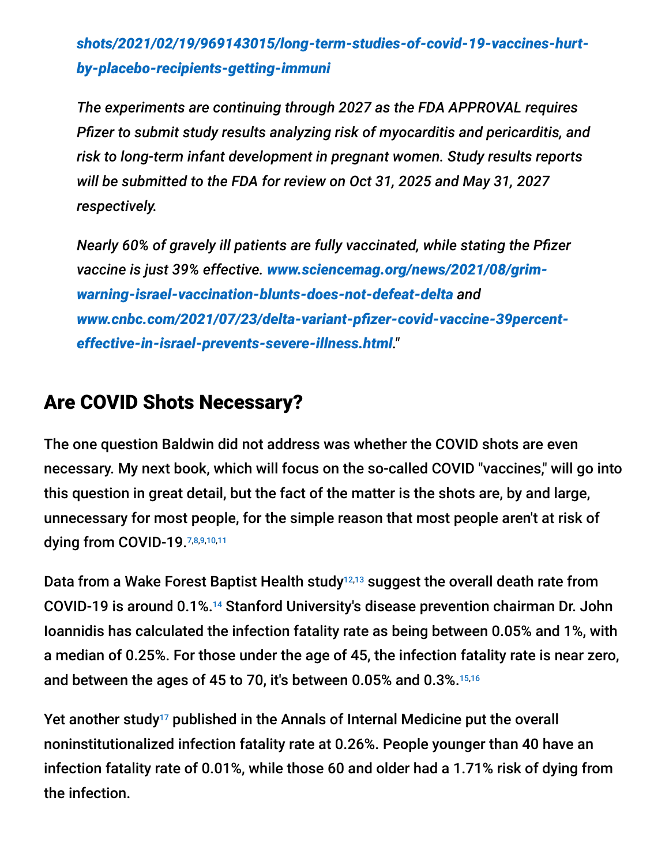*[shots/2021/02/19/969143015/long-term-studies-of-covid-19-vaccines-hurt](https://urldefense.com/v3/__https:/www.npr.org/sections/health-shots/2021/02/19/969143015/long-term-studies-of-covid-19-vaccines-hurt-by-placebo-recipients-getting-immuni__;!!AQdq3sQhfUj4q8uUguY!2LJfRSMeR6Qu8pNFjMXbjJY1559zcBJtpifDzJSbjvAERZIiDf-THJV0Wi7qT698o02SJPxx$)by-placebo-recipients-getting-immuni*

*The experiments are continuing through 2027 as the FDA APPROVAL requires Pfizer to submit study results analyzing risk of myocarditis and pericarditis, and risk to long-term infant development in pregnant women. Study results reports will be submitted to the FDA for review on Oct 31, 2025 and May 31, 2027 respectively.*

*Nearly 60% of gravely ill patients are fully vaccinated, while stating the Pfizer vaccine is just 39% effective. www.sciencemag.org/news/2021/08/grim[warning-israel-vaccination-blunts-does-not-defeat-delta](https://urldefense.com/v3/__https:/www.sciencemag.org/news/2021/08/grim-warning-israel-vaccination-blunts-does-not-defeat-delta__;!!AQdq3sQhfUj4q8uUguY!2LJfRSMeR6Qu8pNFjMXbjJY1559zcBJtpifDzJSbjvAERZIiDf-THJV0Wi7qT698o112KePA$) and [www.cnbc.com/2021/07/23/delta-variant-pfizer-covid-vaccine-39percent](https://urldefense.com/v3/__https:/www.cnbc.com/2021/07/23/delta-variant-pfizer-covid-vaccine-39percent-effective-in-israel-prevents-severe-illness.html__;!!AQdq3sQhfUj4q8uUguY!2LJfRSMeR6Qu8pNFjMXbjJY1559zcBJtpifDzJSbjvAERZIiDf-THJV0Wi7qT698oxxVCpZ3$)effective-in-israel-prevents-severe-illness.html."*

### Are COVID Shots Necessary?

The one question Baldwin did not address was whether the COVID shots are even necessary. My next book, which will focus on the so-called COVID "vaccines," will go into this question in great detail, but the fact of the matter is the shots are, by and large, unnecessary for most people, for the simple reason that most people aren't at risk of dying from COVID-19.7,8,9,10,11

Data from a Wake Forest Baptist Health study $^{12,13}$  suggest the overall death rate from COVID-19 is around 0.1%.<sup>14</sup> Stanford University's disease prevention chairman Dr. John Ioannidis has calculated the infection fatality rate as being between 0.05% and 1%, with a median of 0.25%. For those under the age of 45, the infection fatality rate is near zero, and between the ages of 45 to 70, it's between 0.05% and 0.3%. 15,16

Yet another study<sup>17</sup> published in the Annals of Internal Medicine put the overall noninstitutionalized infection fatality rate at 0.26%. People younger than 40 have an infection fatality rate of 0.01%, while those 60 and older had a 1.71% risk of dying from the infection.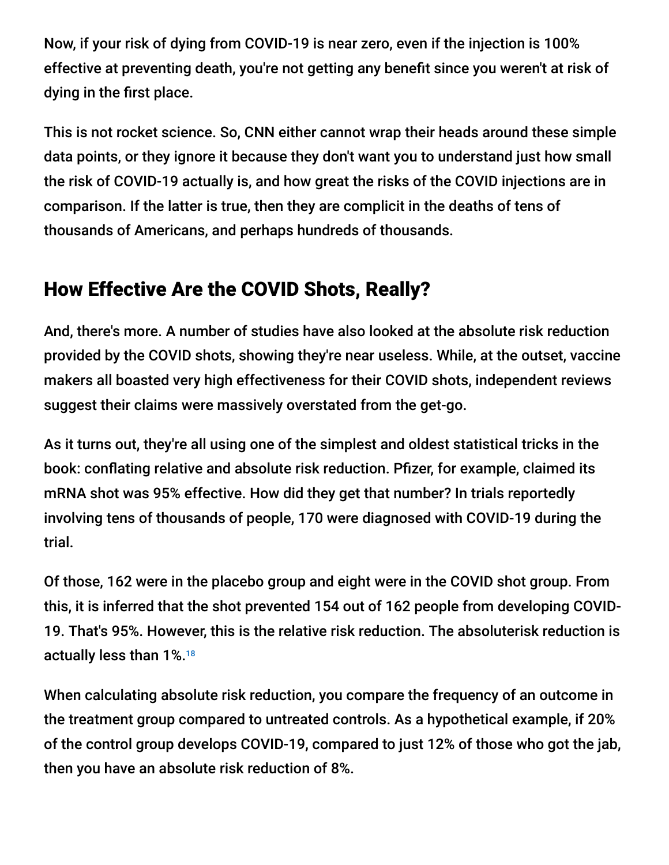Now, if your risk of dying from COVID-19 is near zero, even if the injection is 100% effective at preventing death, you're not getting any benefit since you weren't at risk of dying in the first place.

This is not rocket science. So, CNN either cannot wrap their heads around these simple data points, or they ignore it because they don't want you to understand just how small the risk of COVID-19 actually is, and how great the risks of the COVID injections are in comparison. If the latter is true, then they are complicit in the deaths of tens of thousands of Americans, and perhaps hundreds of thousands.

# How Effective Are the COVID Shots, Really?

And, there's more. A number of studies have also looked at the absolute risk reduction provided by the COVID shots, showing they're near useless. While, at the outset, vaccine makers all boasted very high effectiveness for their COVID shots, independent reviews suggest their claims were massively overstated from the get-go.

As it turns out, they're all using one of the simplest and oldest statistical tricks in the book: conflating relative and absolute risk reduction. Pfizer, for example, claimed its mRNA shot was 95% effective. How did they get that number? In trials reportedly involving tens of thousands of people, 170 were diagnosed with COVID-19 during the trial.

Of those, 162 were in the placebo group and eight were in the COVID shot group. From this, it is inferred that the shot prevented 154 out of 162 people from developing COVID-19. That's 95%. However, this is the relative risk reduction. The absoluterisk reduction is actually less than 1%. 18

When calculating absolute risk reduction, you compare the frequency of an outcome in the treatment group compared to untreated controls. As a hypothetical example, if 20% of the control group develops COVID-19, compared to just 12% of those who got the jab, then you have an absolute risk reduction of 8%.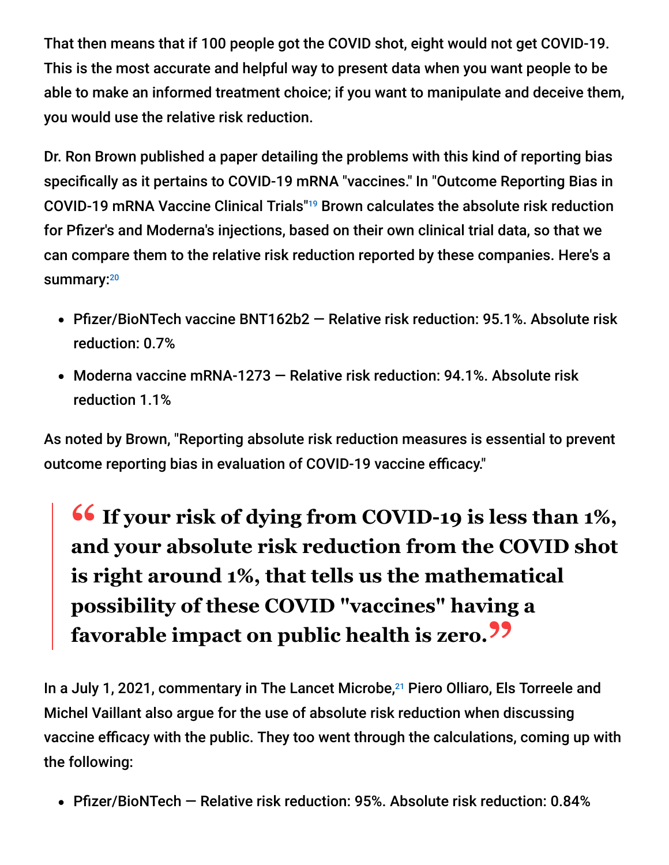That then means that if 100 people got the COVID shot, eight would not get COVID-19. This is the most accurate and helpful way to present data when you want people to be able to make an informed treatment choice; if you want to manipulate and deceive them, you would use the relative risk reduction.

Dr. Ron Brown published a paper detailing the problems with this kind of reporting bias specifically as it pertains to COVID-19 mRNA "vaccines." In "Outcome Reporting Bias in COVID-19 mRNA Vaccine Clinical Trials"<sup>19</sup> Brown calculates the absolute risk reduction for Pfizer's and Moderna's injections, based on their own clinical trial data, so that we can compare them to the relative risk reduction reported by these companies. Here's a summary:<sup>20</sup>

- Pfizer/BioNTech vaccine BNT162b2 Relative risk reduction: 95.1%. Absolute risk reduction: 0.7%
- Moderna vaccine mRNA-1273 Relative risk reduction: 94.1%. Absolute risk reduction 1.1%

As noted by Brown, "Reporting absolute risk reduction measures is essential to prevent outcome reporting bias in evaluation of COVID-19 vaccine efficacy."

# **<sup>66</sup>** If your risk of dying from COVID-19 is less than 1%,<br>and your absolute risk reduction from the COVID shot **and your absolute risk reduction from the COVID shot is right around 1%, that tells us the mathematical possibility of these COVID "vaccines" having a favorable impact on public health is zero."**

In a July 1, 2021, commentary in The Lancet Microbe,<sup>21</sup> Piero Olliaro, Els Torreele and Michel Vaillant also argue for the use of absolute risk reduction when discussing vaccine efficacy with the public. They too went through the calculations, coming up with the following:

Pfizer/BioNTech — Relative risk reduction: 95%. Absolute risk reduction: 0.84%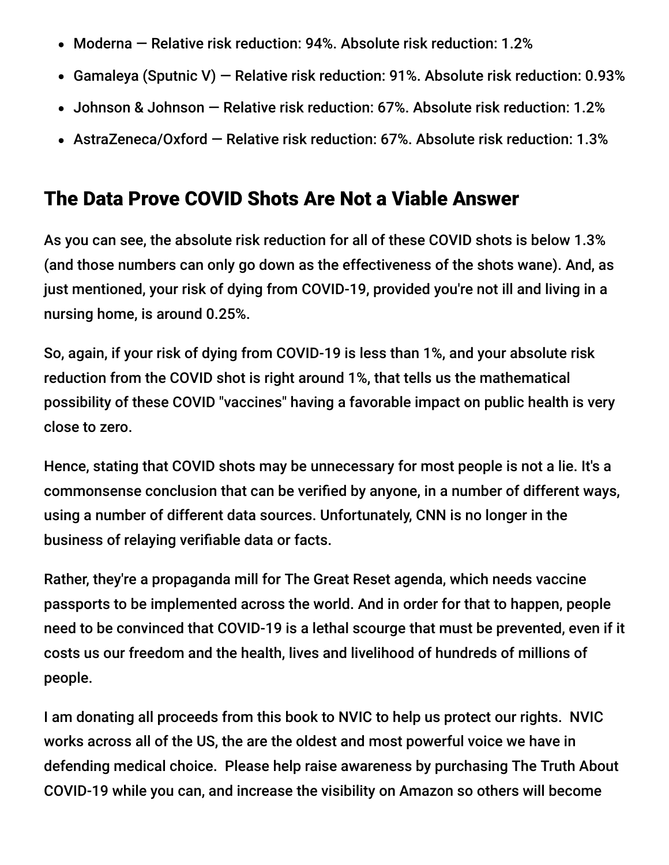- Moderna Relative risk reduction: 94%. Absolute risk reduction: 1.2%
- Gamaleya (Sputnic V) Relative risk reduction: 91%. Absolute risk reduction: 0.93%
- Johnson & Johnson Relative risk reduction: 67%. Absolute risk reduction: 1.2%
- AstraZeneca/Oxford Relative risk reduction: 67%. Absolute risk reduction: 1.3%

### The Data Prove COVID Shots Are Not a Viable Answer

As you can see, the absolute risk reduction for all of these COVID shots is below 1.3% (and those numbers can only go down as the effectiveness of the shots wane). And, as just mentioned, your risk of dying from COVID-19, provided you're not ill and living in a nursing home, is around 0.25%.

So, again, if your risk of dying from COVID-19 is less than 1%, and your absolute risk reduction from the COVID shot is right around 1%, that tells us the mathematical possibility of these COVID "vaccines" having a favorable impact on public health is very close to zero.

Hence, stating that COVID shots may be unnecessary for most people is not a lie. It's a commonsense conclusion that can be verified by anyone, in a number of different ways, using a number of different data sources. Unfortunately, CNN is no longer in the business of relaying verifiable data or facts.

Rather, they're a propaganda mill for The Great Reset agenda, which needs vaccine passports to be implemented across the world. And in order for that to happen, people need to be convinced that COVID-19 is a lethal scourge that must be prevented, even if it costs us our freedom and the health, lives and livelihood of hundreds of millions of people.

I am donating all proceeds from this book to NVIC to help us protect our rights. NVIC works across all of the US, the are the oldest and most powerful voice we have in defending medical choice. Please help raise awareness by purchasing The Truth About COVID-19 while you can, and increase the visibility on Amazon so others will become